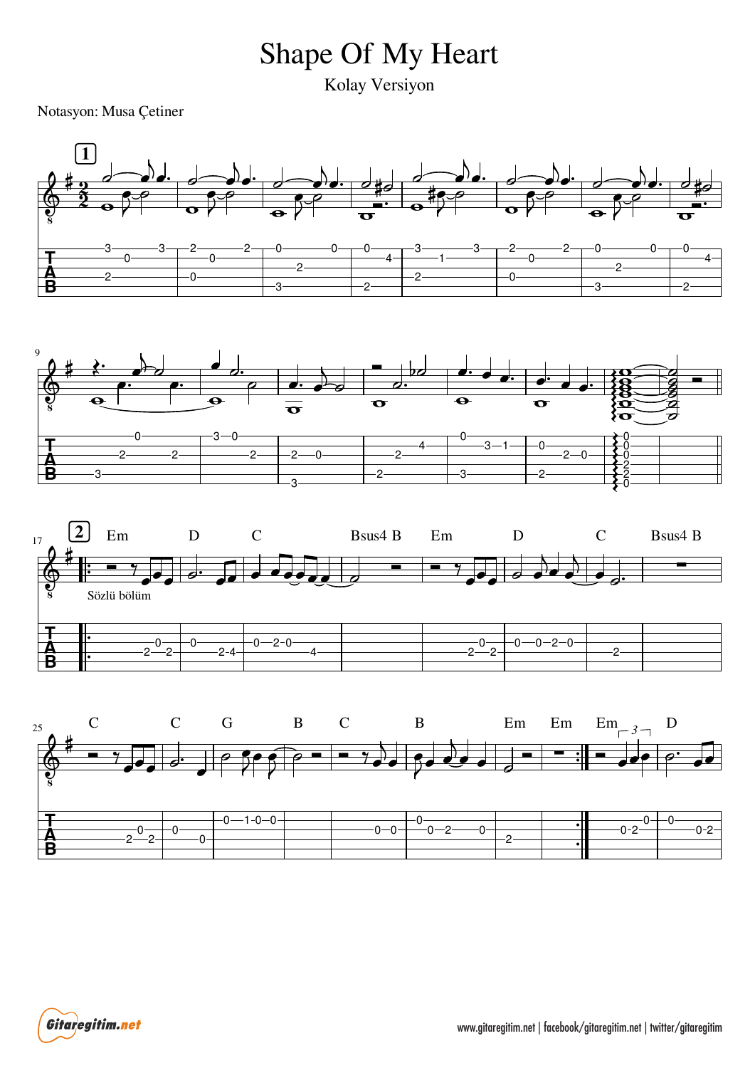Shape Of My Heart

Kolay Versiyon

Notasyon: Musa Çetiner